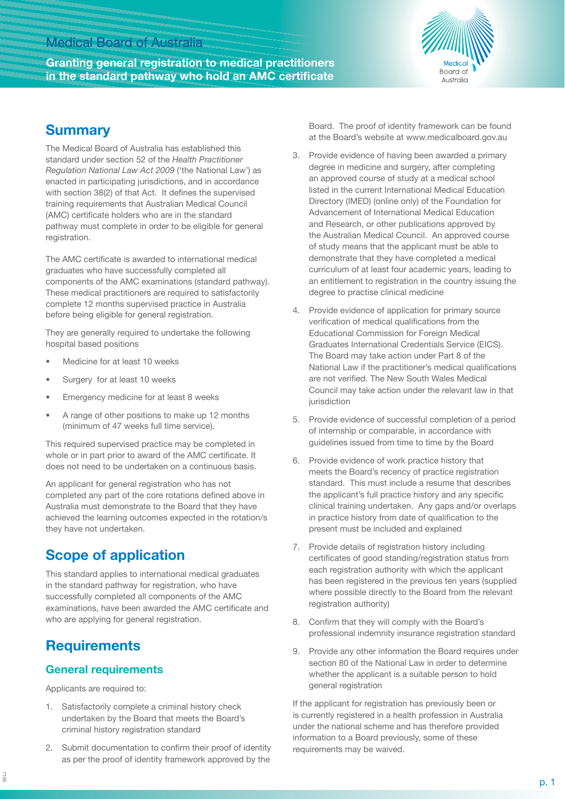## Medical Board of Australia

**Granting general registration to medical practitioners in the standard pathway who hold an AMC certificate**



## **Summary**

The Medical Board of Australia has established this standard under section 52 of the *Health Practitioner Regulation National Law Act 2009* ('the National Law') as enacted in participating jurisdictions, and in accordance with section 38(2) of that Act. It defines the supervised training requirements that Australian Medical Council (AMC) certificate holders who are in the standard pathway must complete in order to be eligible for general registration.

The AMC certificate is awarded to international medical graduates who have successfully completed all components of the AMC examinations (standard pathway). These medical practitioners are required to satisfactorily complete 12 months supervised practice in Australia before being eligible for general registration.

They are generally required to undertake the following hospital based positions

- Medicine for at least 10 weeks
- Surgery for at least 10 weeks
- Emergency medicine for at least 8 weeks
- A range of other positions to make up 12 months (minimum of 47 weeks full time service).

This required supervised practice may be completed in whole or in part prior to award of the AMC certificate. It does not need to be undertaken on a continuous basis.

An applicant for general registration who has not completed any part of the core rotations defined above in Australia must demonstrate to the Board that they have achieved the learning outcomes expected in the rotation/s they have not undertaken.

# **Scope of application**

This standard applies to international medical graduates in the standard pathway for registration, who have successfully completed all components of the AMC examinations, have been awarded the AMC certificate and who are applying for general registration.

# **Requirements**

#### **General requirements**

Applicants are required to:

- 1. Satisfactorily complete a criminal history check undertaken by the Board that meets the Board's criminal history registration standard
- 2. Submit documentation to confirm their proof of identity as per the proof of identity framework approved by the

Board. The proof of identity framework can be found at the Board's website at www.medicalboard.gov.au

- 3. Provide evidence of having been awarded a primary degree in medicine and surgery, after completing an approved course of study at a medical school listed in the current International Medical Education Directory (IMED) (online only) of the Foundation for Advancement of International Medical Education and Research, or other publications approved by the Australian Medical Council. An approved course of study means that the applicant must be able to demonstrate that they have completed a medical curriculum of at least four academic years, leading to an entitlement to registration in the country issuing the degree to practise clinical medicine
- 4. Provide evidence of application for primary source verification of medical qualifications from the Educational Commission for Foreign Medical Graduates International Credentials Service (EICS). The Board may take action under Part 8 of the National Law if the practitioner's medical qualifications are not verified. The New South Wales Medical Council may take action under the relevant law in that iurisdiction
- 5. Provide evidence of successful completion of a period of internship or comparable, in accordance with guidelines issued from time to time by the Board
- 6. Provide evidence of work practice history that meets the Board's recency of practice registration standard. This must include a resume that describes the applicant's full practice history and any specific clinical training undertaken. Any gaps and/or overlaps in practice history from date of qualification to the present must be included and explained
- 7. Provide details of registration history including certificates of good standing/registration status from each registration authority with which the applicant has been registered in the previous ten years (supplied where possible directly to the Board from the relevant registration authority)
- 8. Confirm that they will comply with the Board's professional indemnity insurance registration standard
- 9. Provide any other information the Board requires under section 80 of the National Law in order to determine whether the applicant is a suitable person to hold general registration

If the applicant for registration has previously been or is currently registered in a health profession in Australia under the national scheme and has therefore provided information to a Board previously, some of these requirements may be waived.